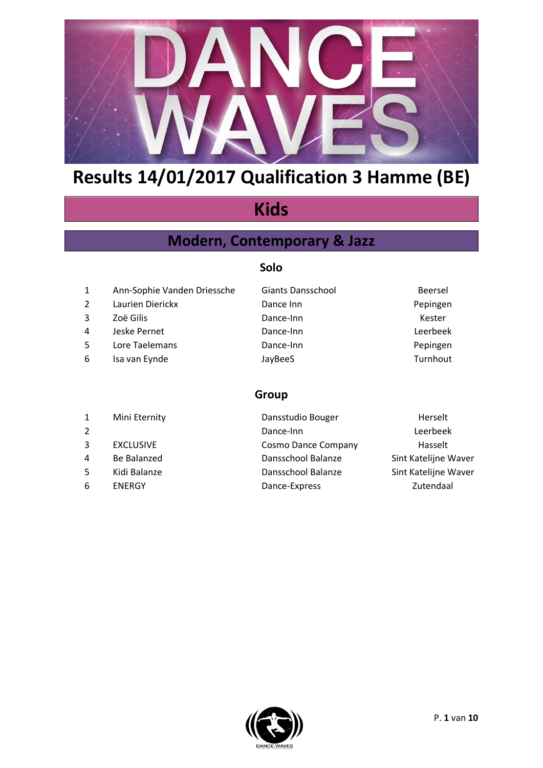

## **Kids**

### **Modern, Contemporary & Jazz**

#### **Solo**

- 1 Ann-Sophie Vanden Driessche Giants Dansschool Beersel
- 
- 
- 
- 
- 
- 2 Laurien Dierickx Dance Inn Dance Inn Pepingen 3 Zoë Gilis Dance-Inn Kester 4 Jeske Pernet Dance-Inn Leerbeek 5 Lore Taelemans **Dance-Inn** Dance-Inn 6 Isa van Eynde Solution van de JayBeeS Assemblance Christian Turnhout
- 

#### **Group**

| $\mathbf{1}$   | Mini Eternity    | Dansstudio Bouger          | Herselt              |
|----------------|------------------|----------------------------|----------------------|
| $\overline{2}$ |                  | Dance-Inn                  | Leerbeek             |
| 3              | <b>EXCLUSIVE</b> | <b>Cosmo Dance Company</b> | Hasselt              |
| 4              | Be Balanzed      | Dansschool Balanze         | Sint Katelijne Waver |
| 5              | Kidi Balanze     | Dansschool Balanze         | Sint Katelijne Waver |
| 6              | <b>ENERGY</b>    | Dance-Express              | Zutendaal            |
|                |                  |                            |                      |

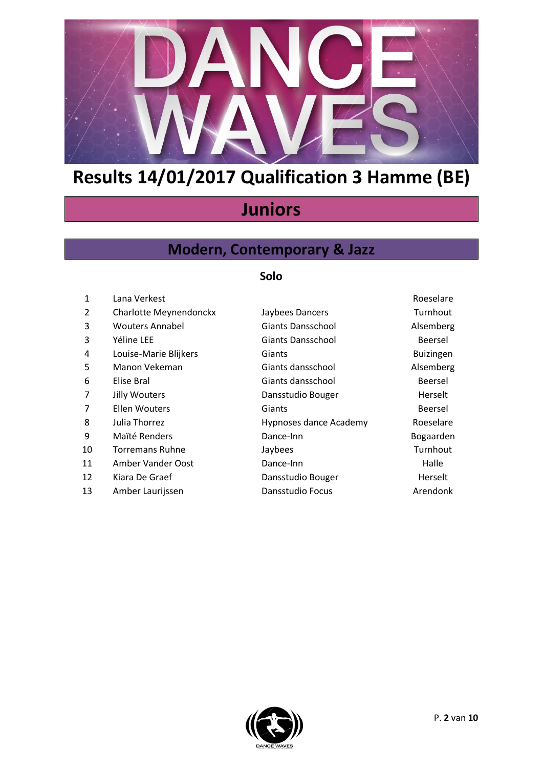

## **Juniors**

### **Modern, Contemporary & Jazz**

### **Solo**

| $\mathbf{1}$ | Lana Verkest           |                        | Roeselare        |
|--------------|------------------------|------------------------|------------------|
| 2            | Charlotte Meynendonckx | Jaybees Dancers        | Turnhout         |
| 3            | <b>Wouters Annabel</b> | Giants Dansschool      | Alsemberg        |
| 3            | Yéline LEE             | Giants Dansschool      | Beersel          |
| 4            | Louise-Marie Blijkers  | Giants                 | <b>Buizingen</b> |
| 5            | Manon Vekeman          | Giants dansschool      | Alsemberg        |
| 6            | Elise Bral             | Giants dansschool      | <b>Beersel</b>   |
| 7            | <b>Jilly Wouters</b>   | Dansstudio Bouger      | Herselt          |
| 7            | <b>Ellen Wouters</b>   | Giants                 | Beersel          |
| 8            | Julia Thorrez          | Hypnoses dance Academy | Roeselare        |
| 9            | Maïté Renders          | Dance-Inn              | Bogaarden        |
| 10           | Torremans Ruhne        | Jaybees                | Turnhout         |
| 11           | Amber Vander Oost      | Dance-Inn              | Halle            |
| 12           | Kiara De Graef         | Dansstudio Bouger      | Herselt          |
| 13           | Amber Laurijssen       | Dansstudio Focus       | Arendonk         |
|              |                        |                        |                  |

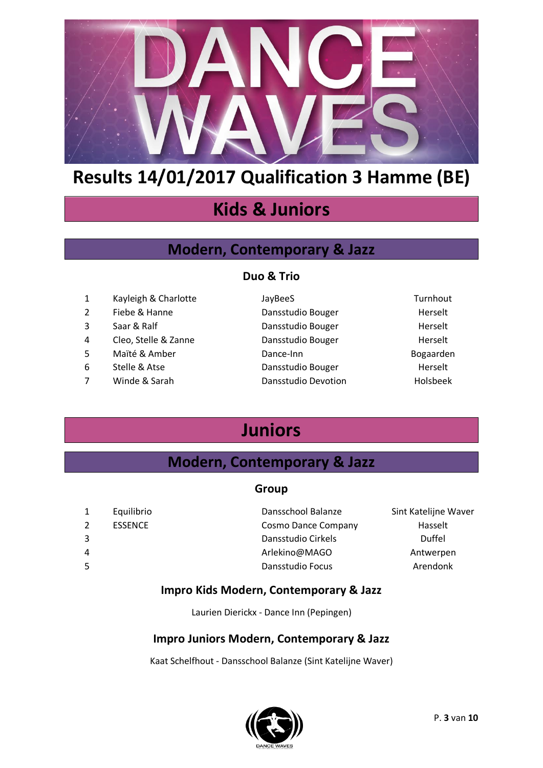

## **Kids & Juniors**

### **Modern, Contemporary & Jazz**

#### **Duo & Trio**

| 1 | Kayleigh & Charlotte | JayBeeS             | Turnhout  |
|---|----------------------|---------------------|-----------|
| 2 | Fiebe & Hanne        | Dansstudio Bouger   | Herselt   |
| 3 | Saar & Ralf          | Dansstudio Bouger   | Herselt   |
| 4 | Cleo, Stelle & Zanne | Dansstudio Bouger   | Herselt   |
| 5 | Maïté & Amber        | Dance-Inn           | Bogaarden |
| 6 | Stelle & Atse        | Dansstudio Bouger   | Herselt   |
| 7 | Winde & Sarah        | Dansstudio Devotion | Holsbeek  |
|   |                      |                     |           |

## **Juniors**

### **Modern, Contemporary & Jazz**

#### **Group**

|    | Equilibrio     | Dansschool Balanze         | Sint Katelijne Waver |
|----|----------------|----------------------------|----------------------|
| 2  | <b>ESSENCE</b> | <b>Cosmo Dance Company</b> | Hasselt              |
|    |                | Dansstudio Cirkels         | Duffel               |
| 4  |                | Arlekino@MAGO              | Antwerpen            |
| 5. |                | Dansstudio Focus           | Arendonk             |
|    |                |                            |                      |

#### **Impro Kids Modern, Contemporary & Jazz**

Laurien Dierickx - Dance Inn (Pepingen)

### **Impro Juniors Modern, Contemporary & Jazz**

Kaat Schelfhout - Dansschool Balanze (Sint Katelijne Waver)

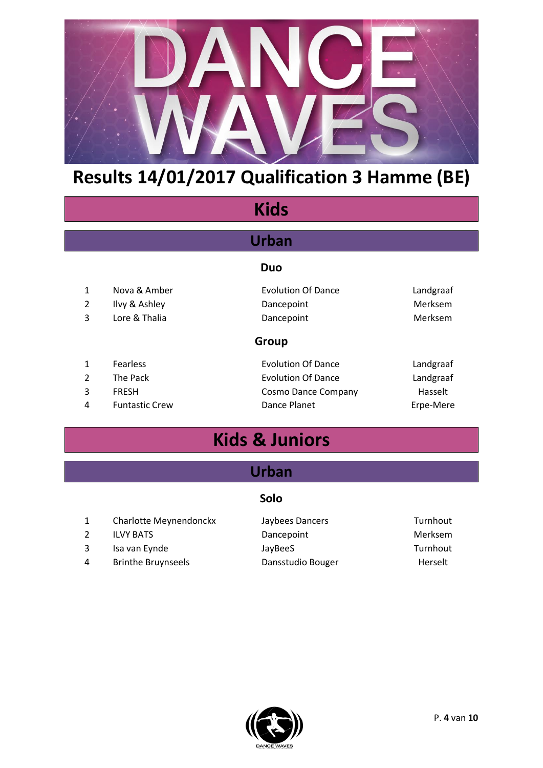

## **Kids**

### **Urban**

#### **Duo**

| 1              | Nova & Amber          | <b>Evolution Of Dance</b> | Landgraaf      |
|----------------|-----------------------|---------------------------|----------------|
| 2              | Ilvy & Ashley         | Dancepoint                | Merksem        |
| 3              | Lore & Thalia         | Dancepoint                | <b>Merksem</b> |
|                |                       | <b>Group</b>              |                |
|                | Fearless              | <b>Evolution Of Dance</b> | Landgraaf      |
| $\overline{2}$ | The Pack              | <b>Evolution Of Dance</b> | Landgraaf      |
| 3              | <b>FRESH</b>          | Cosmo Dance Company       | Hasselt        |
| 4              | <b>Funtastic Crew</b> | Dance Planet              | Erpe-Mere      |

## **Kids & Juniors**

### **Urban**

### **Solo**

|   | Charlotte Meynendonckx    | Jaybees Dancers   | Turnhout |
|---|---------------------------|-------------------|----------|
|   | <b>ILVY BATS</b>          | Dancepoint        | Merksem  |
| 3 | Isa van Eynde             | JayBeeS           | Turnhout |
| 4 | <b>Brinthe Bruynseels</b> | Dansstudio Bouger | Herselt  |

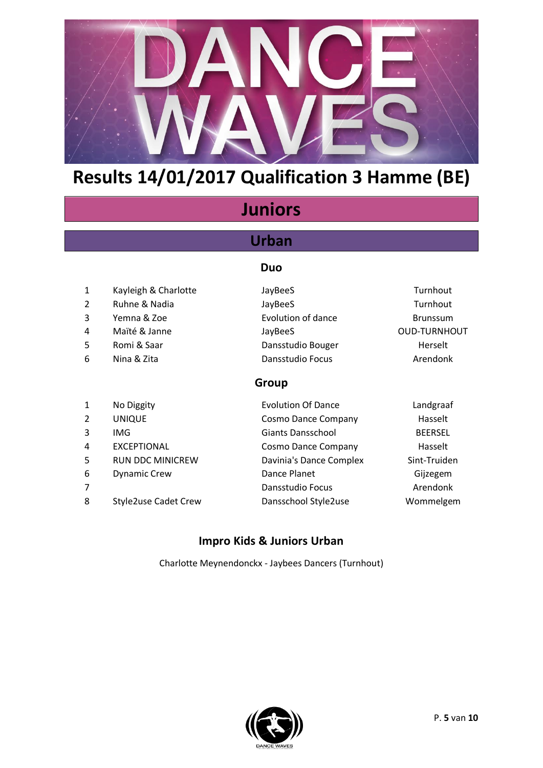

## **Juniors**

### **Urban**

#### **Duo**

- 1 Kayleigh & Charlotte **JayBeeS** Jayaness Jaya Turnhout
- 2 Ruhne & Nadia San JayBeeS Assessment Curriculum and Turnhout
- 3 Yemna & Zoe **Evolution of dance** Brunssum
- 4 Maïté & Janne JayBeeS JayBeeS OUD-TURNHOUT
- 5 Romi & Saar **Dansstudio Bouger** Herselt
- 6 Nina & Zita Dansstudio Focus Arendonk

### **Group**

1 No Diggity Evolution Of Dance Landgraaf 2 UNIQUE Cosmo Dance Company Hasselt 3 IMG Giants Dansschool BEERSEL 4 EXCEPTIONAL Cosmo Dance Company Hasselt 5 RUN DDC MINICREW Davinia's Dance Complex Sint-Truiden 6 Dynamic Crew Dance Planet Gijzegem 7 Dansstudio Focus Arendonk 8 Style2use Cadet Crew Dansschool Style2use Wommelgem

### **Impro Kids & Juniors Urban**

Charlotte Meynendonckx - Jaybees Dancers (Turnhout)

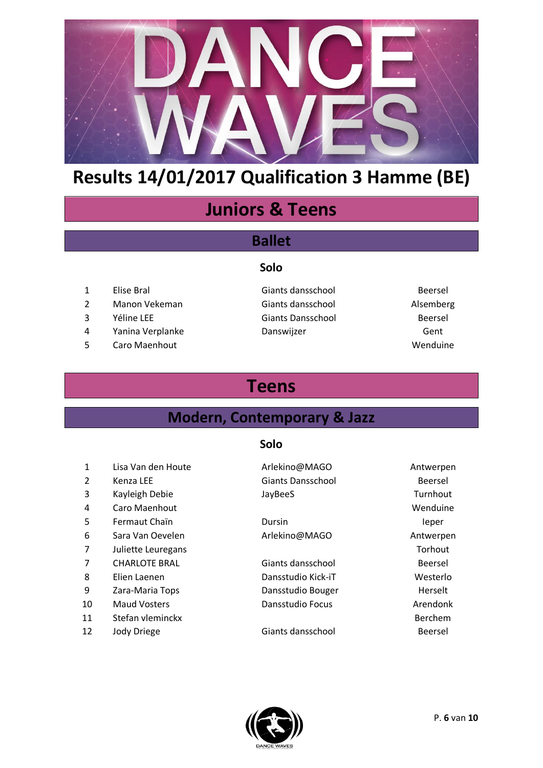

## **Juniors & Teens**

### **Ballet**

#### **Solo**

- 
- Manon Vekeman Giants dansschool Alsemberg
- 
- 4 Yanina Verplanke Danswijzer Cent
- 5 Caro Maenhout 2008 and 2009 and 2009 and 2009 and 2009 and 2009 and 2009 and 2009 and 2009 and 2009 and 2009 and 2009 and 2009 and 2009 and 2009 and 2009 and 2009 and 2009 and 2009 and 2009 and 2009 and 2009 and 2009 and
- Elise Bral Giants dansschool Beersel Yéline LEE Giants Dansschool Beersel
	-

## **Teens**

### **Modern, Contemporary & Jazz**

#### **Solo**

| 1              | Lisa Van den Houte   | Arlekino@MAGO            | Antwerpen |
|----------------|----------------------|--------------------------|-----------|
| 2              | Kenza LEE            | <b>Giants Dansschool</b> | Beersel   |
| 3              | Kayleigh Debie       | JayBeeS                  | Turnhout  |
| 4              | Caro Maenhout        |                          | Wenduine  |
| 5              | Fermaut Chaïn        | Dursin                   | leper     |
| 6              | Sara Van Oevelen     | Arlekino@MAGO            | Antwerpen |
| $\overline{7}$ | Juliette Leuregans   |                          | Torhout   |
| 7              | <b>CHARLOTE BRAL</b> | Giants dansschool        | Beersel   |
| 8              | Elien Laenen         | Dansstudio Kick-iT       | Westerlo  |
| 9              | Zara-Maria Tops      | Dansstudio Bouger        | Herselt   |
| 10             | <b>Maud Vosters</b>  | Dansstudio Focus         | Arendonk  |
| 11             | Stefan vleminckx     |                          | Berchem   |
| 12             | Jody Driege          | Giants dansschool        | Beersel   |

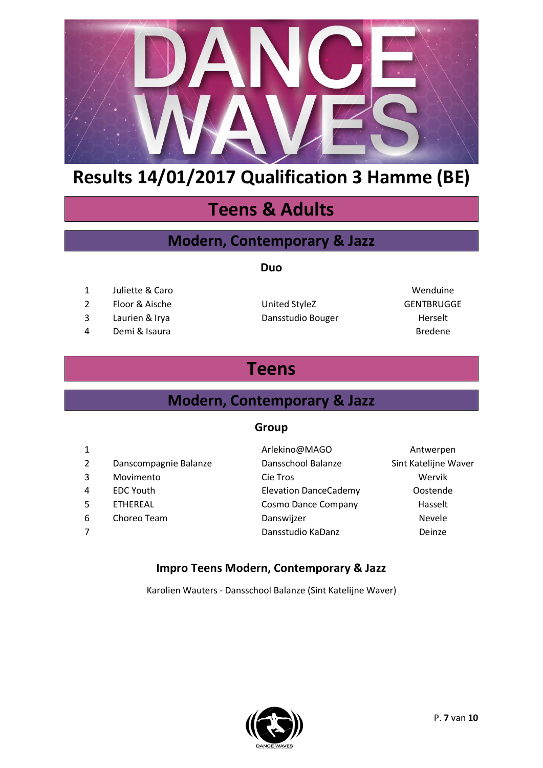

## **Teens & Adults**

### **Modern, Contemporary & Jazz**

#### **Duo**

- 1 Juliette & Caro **Wenduine**
- 2 Floor & Aische Contract Contract United StyleZ CENTBRUGGE
- 3 Laurien & Irya **Dansstudio Bouger** Herselt
- 4 Demi & Isaura Bredene

## **Teens**

### **Modern, Contemporary & Jazz**

#### **Group**

| $\mathbf{1}$   |                       | Arlekino@MAGO                | Antwerpen            |
|----------------|-----------------------|------------------------------|----------------------|
| $\overline{2}$ | Danscompagnie Balanze | Dansschool Balanze           | Sint Katelijne Waver |
| 3              | Movimento             | Cie Tros                     | Wervik               |
| 4              | <b>EDC Youth</b>      | <b>Elevation DanceCademy</b> | Oostende             |
| 5              | <b>ETHEREAL</b>       | <b>Cosmo Dance Company</b>   | Hasselt              |
| 6              | Choreo Team           | Danswijzer                   | Nevele               |
| 7              |                       | Dansstudio KaDanz            | Deinze               |

### **Impro Teens Modern, Contemporary & Jazz**

Karolien Wauters - Dansschool Balanze (Sint Katelijne Waver)

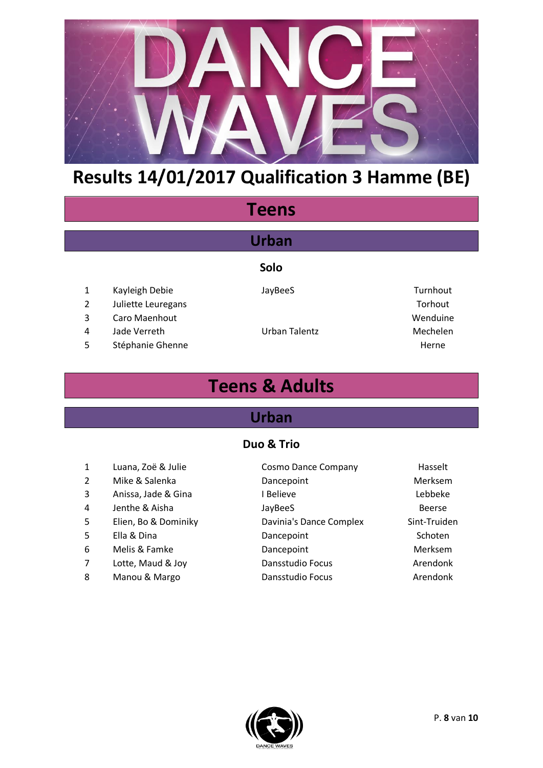

## **Teens**

### **Urban**

#### **Solo**

- 1 Kayleigh Debie **JayBeeS** JayBeeS Turnhout
- 2 Juliette Leuregans Torhout
	-
- 4 Jade Verreth Urban Talentz Mechelen

# 3 Caro Maenhout November 2008 and 2009 wenduine 5 Stéphanie Ghenne Herne Herne Herne Herne

## **Teens & Adults**

### **Urban**

#### **Duo & Trio**

- 
- 
- 
- 
- 
- 
- 
- 
- 
- 1 Luana, Zoë & Julie Cosmo Dance Company Hasselt 2 Mike & Salenka **Dancepoint** Dancepoint Merksem 3 Anissa, Jade & Gina **I Believe Constanting Constanting Constanting Constanting Constanting Constanting Constanting Constanting Constanting Constanting Constanting Constanting Constanting Constanting Constanting Constan** 4 Jenthe & Aisha San JayBeeS All the Section of the Section of the Section of the Section of the Section of the Section of the Section of the Section of the Section of the Section of the Section of the Section of the Secti 5 Elien, Bo & Dominiky Davinia's Dance Complex Sint-Truiden 5 Ella & Dina **Dancepoint** Dancepoint Schoten 6 Melis & Famke **Dancepoint** Dancepoint Merksem 7 Lotte, Maud & Joy Dansstudio Focus Arendonk 8 Manou & Margo **Dansstudio Focus Communisty** Arendonk

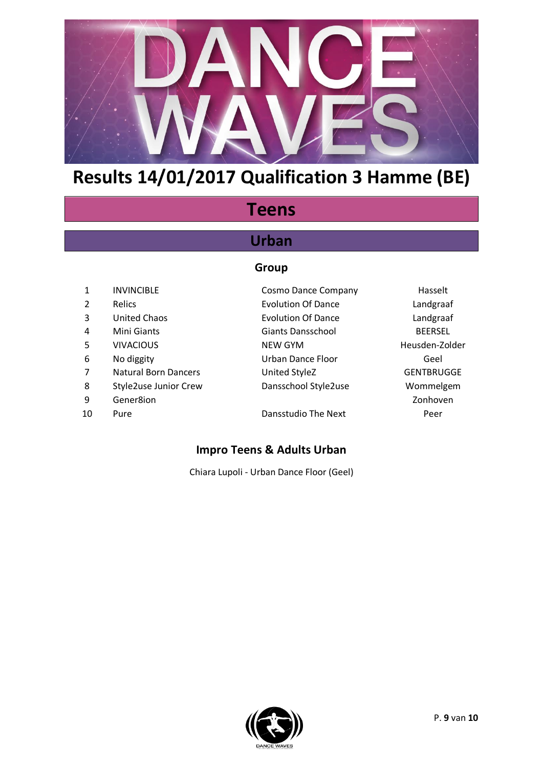

## **Teens**

### **Urban**

#### **Group**

| 1              | <b>INVINCIBLE</b>            | <b>Cosmo Dance Company</b> | Hasselt           |
|----------------|------------------------------|----------------------------|-------------------|
| 2              | Relics                       | <b>Evolution Of Dance</b>  | Landgraaf         |
| 3              | <b>United Chaos</b>          | <b>Evolution Of Dance</b>  | Landgraaf         |
| 4              | Mini Giants                  | <b>Giants Dansschool</b>   | <b>BEERSEL</b>    |
| 5              | <b>VIVACIOUS</b>             | NEW GYM                    | Heusden-Zolder    |
| 6              | No diggity                   | <b>Urban Dance Floor</b>   | Geel              |
| $\overline{7}$ | <b>Natural Born Dancers</b>  | United StyleZ              | <b>GENTBRUGGE</b> |
| 8              | <b>Style2use Junior Crew</b> | Dansschool Style2use       | Wommelgem         |
| 9              | Gener8ion                    |                            | Zonhoven          |
| 10             | Pure                         | Dansstudio The Next        | Peer              |
|                |                              |                            |                   |

### **Impro Teens & Adults Urban**

Chiara Lupoli - Urban Dance Floor (Geel)